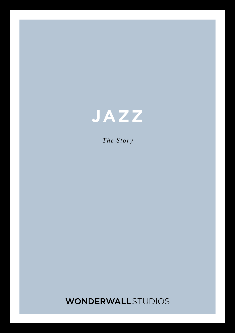

*The Story*

**WONDERWALL**STUDIOS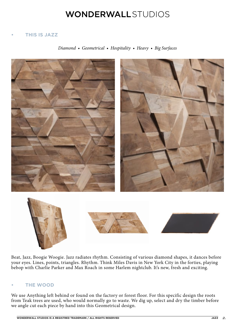# **WONDERWALL**STUDIOS

## **• THIS IS JAZZ**

*Diamond • Geometrical • Hospitality • Heavy • Big Surfaces*



Beat, Jazz, Boogie Woogie. Jazz radiates rhythm. Consisting of various diamond shapes, it dances before your eyes. Lines, points, triangles. Rhythm. Think Miles Davis in New York City in the forties, playing bebop with Charlie Parker and Max Roach in some Harlem nightclub. It's new, fresh and exciting.

### **• THE WOOD**

We use Anything left behind or found on the factory or forest floor. For this specific design the roots from Teak trees are used, who would normally go to waste. We dig up, select and dry the timber before we angle cut each piece by hand into this Geometrical design.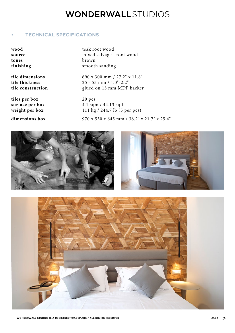# **WONDERWALL**STUDIOS

### **• TECHNICAL SPECIFICATIONS**

| wood      |
|-----------|
| source    |
| tones     |
| finishing |

**tiles per box** 20 pcs

**wood** teak root wood mixed salvage - root wood **tones** brown **finishing** smooth sanding

**tile dimensions** 690 x 300 mm / 27.2" x 11.8"<br> **tile thickness** 25 - 55 mm / 1.0"-2.2" **tile thickness** 25 - 55 mm / 1.0"-2.2" **tile construction** glued on 15 mm MDF backer

**surface per box** 4.1 sqm / 44.13 sq ft weight per box 111 kg / 244.7 lb (5 per pcs) **dimensions box** 970 x 550 x 645 mm / 38.2" x 21.7" x 25.4"